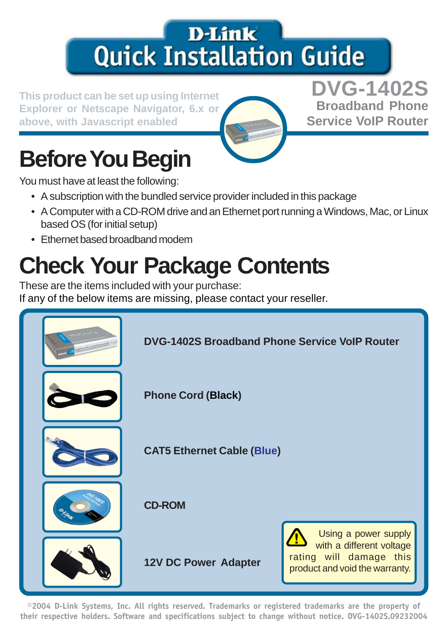## **D-Link Quick Installation Guide**

**Explorer or Netscape Navigator, 6.x or above, with Javascript enabled**



**This product can be set up using Internet DVG-1402S Broadband Phone Service VoIP Router**

# **Before You Begin**

You must have at least the following:

- A subscription with the bundled service provider included in this package
- A Computer with a CD-ROM drive and an Ethernet port running a Windows, Mac, or Linux based OS (for initial setup)
- Ethernet based broadband modem

# **Check Your Package Contents**

These are the items included with your purchase:

If any of the below items are missing, please contact your reseller.



**©2004 D-Link Systems, Inc. All rights reserved. Trademarks or registered trademarks are the property of their respective holders. Software and specifications subject to change without notice. DVG-1402S.09232004**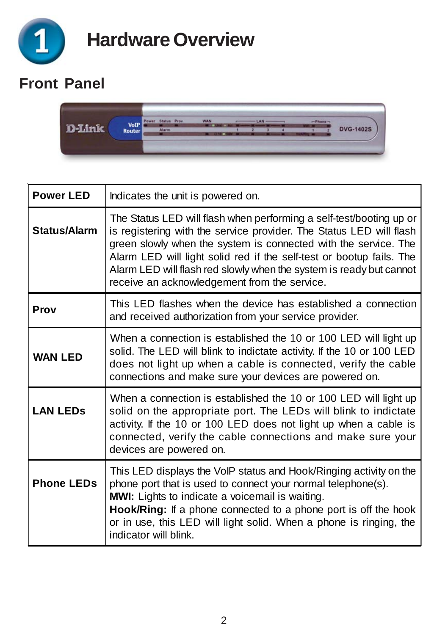

#### **Front Panel**



| <b>Power LED</b>  | Indicates the unit is powered on.                                                                                                                                                                                                                                                                                                                                                                            |  |  |
|-------------------|--------------------------------------------------------------------------------------------------------------------------------------------------------------------------------------------------------------------------------------------------------------------------------------------------------------------------------------------------------------------------------------------------------------|--|--|
| Status/Alarm      | The Status LED will flash when performing a self-test/booting up or<br>is registering with the service provider. The Status LED will flash<br>green slowly when the system is connected with the service. The<br>Alarm LED will light solid red if the self-test or bootup fails. The<br>Alarm LED will flash red slowly when the system is ready but cannot<br>receive an acknowledgement from the service. |  |  |
| Prov              | This LED flashes when the device has established a connection<br>and received authorization from your service provider.                                                                                                                                                                                                                                                                                      |  |  |
| <b>WAN LED</b>    | When a connection is established the 10 or 100 LED will light up<br>solid. The LED will blink to indictate activity. If the 10 or 100 LED<br>does not light up when a cable is connected, verify the cable<br>connections and make sure your devices are powered on.                                                                                                                                         |  |  |
| <b>LAN LEDS</b>   | When a connection is established the 10 or 100 LED will light up<br>solid on the appropriate port. The LEDs will blink to indictate<br>activity. If the 10 or 100 LED does not light up when a cable is<br>connected, verify the cable connections and make sure your<br>devices are powered on.                                                                                                             |  |  |
| <b>Phone LEDs</b> | This LED displays the VoIP status and Hook/Ringing activity on the<br>phone port that is used to connect your normal telephone(s).<br>MWI: Lights to indicate a voicemail is waiting.<br>Hook/Ring: If a phone connected to a phone port is off the hook<br>or in use, this LED will light solid. When a phone is ringing, the<br>indicator will blink.                                                      |  |  |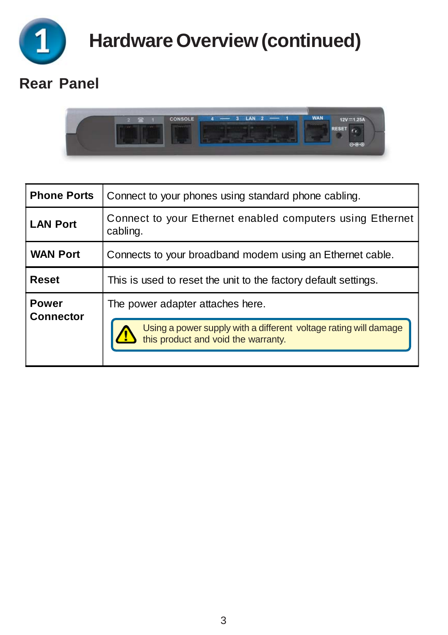

**Hardware Overview (continued)**

#### **Rear Panel**



| <b>Phone Ports</b>               | Connect to your phones using standard phone cabling.                                                    |  |  |  |
|----------------------------------|---------------------------------------------------------------------------------------------------------|--|--|--|
| <b>LAN Port</b>                  | Connect to your Ethernet enabled computers using Ethernet<br>cabling.                                   |  |  |  |
| <b>WAN Port</b>                  | Connects to your broadband modem using an Ethernet cable.                                               |  |  |  |
| Reset                            | This is used to reset the unit to the factory default settings.                                         |  |  |  |
| <b>Power</b><br><b>Connector</b> | The power adapter attaches here.                                                                        |  |  |  |
|                                  | Using a power supply with a different voltage rating will damage<br>this product and void the warranty. |  |  |  |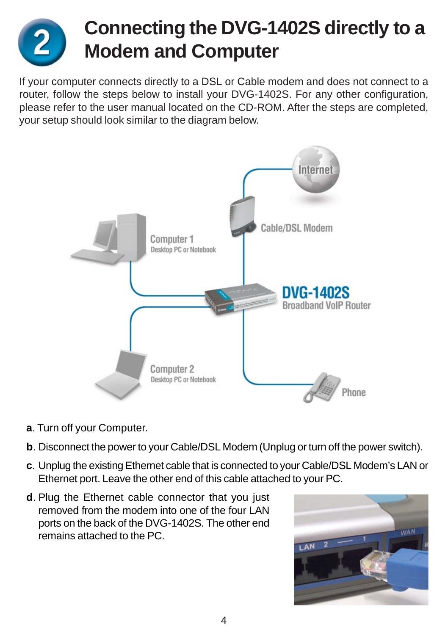

## **Connecting the DVG-1402S directly to a Modem and Computer**

If your computer connects directly to a DSL or Cable modem and does not connect to a router, follow the steps below to install your DVG-1402S. For any other configuration, please refer to the user manual located on the CD-ROM. After the steps are completed, your setup should look similar to the diagram below.



- **a**. Turn off your Computer.
- **b**. Disconnect the power to your Cable/DSL Modem (Unplug or turn off the power switch).
- **c**. Unplug the existing Ethernet cable that is connected to your Cable/DSL Modem's LAN or Ethernet port. Leave the other end of this cable attached to your PC.
- **d**. Plug the Ethernet cable connector that you just removed from the modem into one of the four LAN ports on the back of the DVG-1402S. The other end remains attached to the PC.

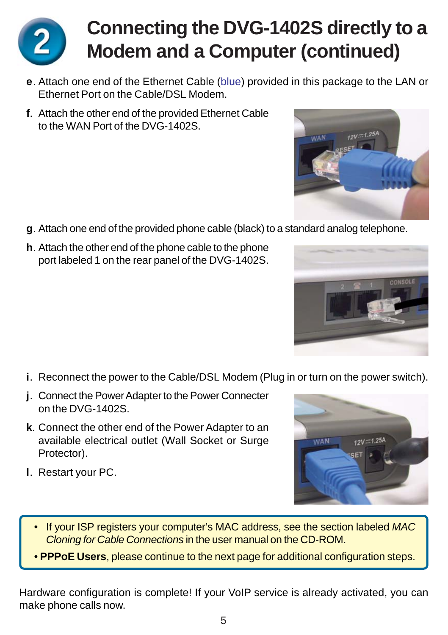

## **Connecting the DVG-1402S directly to a Modem and a Computer (continued)**

- **e**. Attach one end of the Ethernet Cable (blue) provided in this package to the LAN or Ethernet Port on the Cable/DSL Modem.
- **f**. Attach the other end of the provided Ethernet Cable to the WAN Port of the DVG-1402S.

- **g**. Attach one end of the provided phone cable (black) to a standard analog telephone.
- **h**. Attach the other end of the phone cable to the phone port labeled 1 on the rear panel of the DVG-1402S.

- **i**. Reconnect the power to the Cable/DSL Modem (Plug in or turn on the power switch).
- **j**. Connect the Power Adapter to the Power Connecter on the DVG-1402S.
- **k**. Connect the other end of the Power Adapter to an available electrical outlet (Wall Socket or Surge Protector).
- **l**. Restart your PC.



- If your ISP registers your computer's MAC address, see the section labeled *MAC Cloning for Cable Connections* in the user manual on the CD-ROM.
- **PPPoE Users**, please continue to the next page for additional configuration steps.

Hardware configuration is complete! If your VoIP service is already activated, you can make phone calls now.



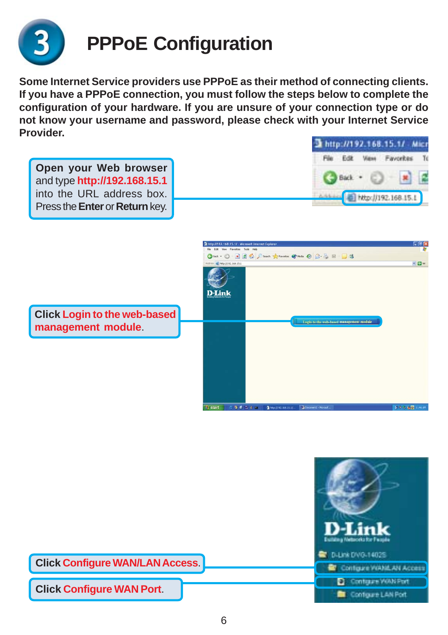

## **PPPoE Configuration**

**Some Internet Service providers use PPPoE as their method of connecting clients. If you have a PPPoE connection, you must follow the steps below to complete the configuration of your hardware. If you are unsure of your connection type or do not know your username and password, please check with your Internet Service Provider.**

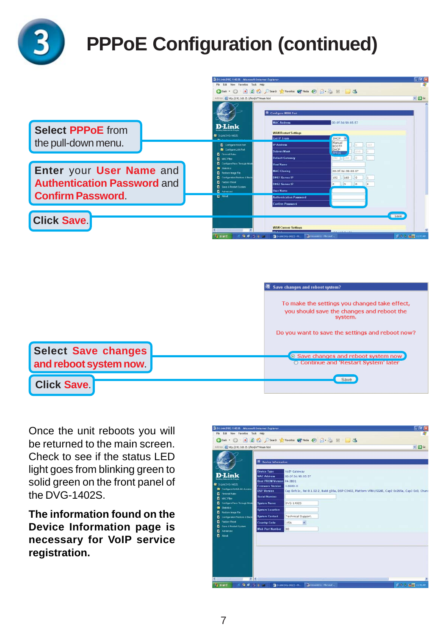

## **PPPoE Configuration (continued)**

|                                                                                           | 3 0 Link DVG 14025 Microsoft Internet Explorer<br>File Edit View Favorites Tools Help                                                                                                                                             |                                                                                                                                                                                                                           | $F = 1$            |
|-------------------------------------------------------------------------------------------|-----------------------------------------------------------------------------------------------------------------------------------------------------------------------------------------------------------------------------------|---------------------------------------------------------------------------------------------------------------------------------------------------------------------------------------------------------------------------|--------------------|
|                                                                                           | Address 8 Ntp://192.168.15.1/tex/ATTHesen.html                                                                                                                                                                                    | ◎ but · ○ ■ 目 ◎ D Seath greeness @ math ② ② ③ 图 ■ ■ 3                                                                                                                                                                     | $-56$              |
| <b>Select PPPoE from</b>                                                                  | <b>D-Link</b><br>To Dank DVO.14025                                                                                                                                                                                                | 表 Configure WAN Part<br><b>MAC Address</b><br>00:0f:3d:98:85:57<br><b>WAN Restart Settings</b><br>Get IP From<br>DHCP.                                                                                                    |                    |
| the pull-down menu.                                                                       | Contigue Volation<br>Contigue LANPort<br><b>D</b> Frewal Rules<br><b>П.</b> мастам                                                                                                                                                | Manual<br>$-10103$<br><b>IP Address</b><br>BOOTP<br>DHCP<br>$755 - 0$<br>Subnet Mark<br><b>PPPoE</b><br><b>Default Gateway</b><br>197 (5) 168                                                                             |                    |
| Enter your User Name and<br><b>Authentication Password and</b><br><b>Confirm Password</b> | <b>E</b> Contigure Pass Through Mode<br><b>B</b> Series<br><b>D</b> Redore Insur File<br><b>E</b> Contiguration Restore & Each<br><b>F</b> Factory Renet<br><b>D</b> Save & Restart System<br><b>D</b> Advanced<br><b>BI</b> Mood | <b>Hod Name</b><br><b>MAC Clening</b><br>DO: OF Rd: OR: RS: 57<br>$168$ 0 1<br>192<br>DNS1 Server IP<br>$\boxed{0}$ $\boxed{0}$ $\boxed{0}$<br>DNS2 Server IP<br>n.<br><b>User Name</b><br><b>Authentication Password</b> |                    |
| <b>Click Save.</b>                                                                        | 9.6.7.9.4<br><b>Es start</b>                                                                                                                                                                                                      | <b>Confirm Password</b><br><b>WAN Current Settings</b><br>Districtive-14025 - M., 2 Converti - Moont,                                                                                                                     | Save<br>受受活 装置 日付所 |



Once the unit reboots you will be returned to the main screen. Check to see if the status LED light goes from blinking green to solid green on the front panel of the DVG-1402S.

**The information found on the Device Information page is necessary for VoIP service registration.**